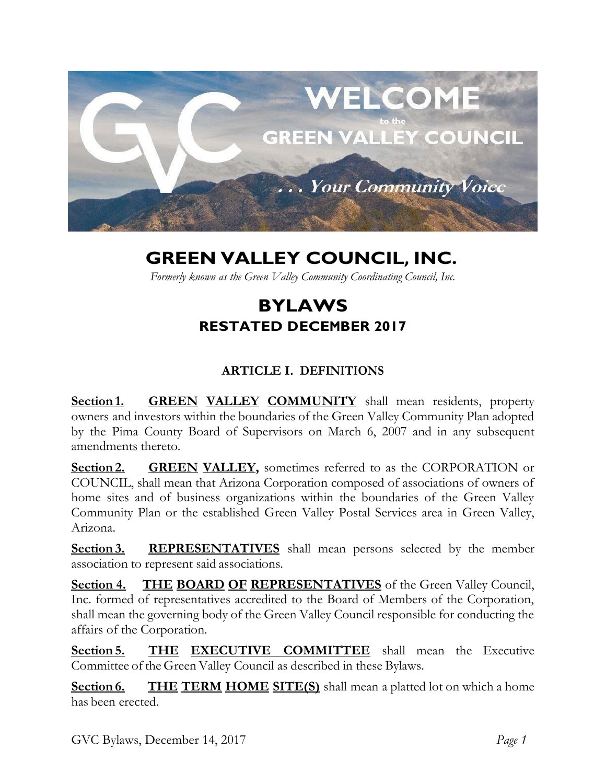

# **GREEN VALLEY COUNCIL, INC.**

*Formerly known as the Green Valley Community Coordinating Council, Inc.*

## **BYLAWS RESTATED DECEMBER 2017**

## **ARTICLE I. DEFINITIONS**

**Section 1.** GREEN VALLEY COMMUNITY shall mean residents, property owners and investors within the boundaries of the Green Valley Community Plan adopted by the Pima County Board of Supervisors on March 6, 2007 and in any subsequent amendments thereto.

**Section 2. GREEN VALLEY,** sometimes referred to as the CORPORATION or COUNCIL, shall mean that Arizona Corporation composed of associations of owners of home sites and of business organizations within the boundaries of the Green Valley Community Plan or the established Green Valley Postal Services area in Green Valley, Arizona.

**Section 3. REPRESENTATIVES** shall mean persons selected by the member association to represent said associations.

**Section 4. THE BOARD OF REPRESENTATIVES** of the Green Valley Council, Inc. formed of representatives accredited to the Board of Members of the Corporation, shall mean the governing body of the Green Valley Council responsible for conducting the affairs of the Corporation.

**Section 5. THE EXECUTIVE COMMITTEE** shall mean the Executive Committee of the Green Valley Council as described in these Bylaws.

**<u>Section 6.</u> THE TERM HOME SITE(S)** shall mean a platted lot on which a home has been erected.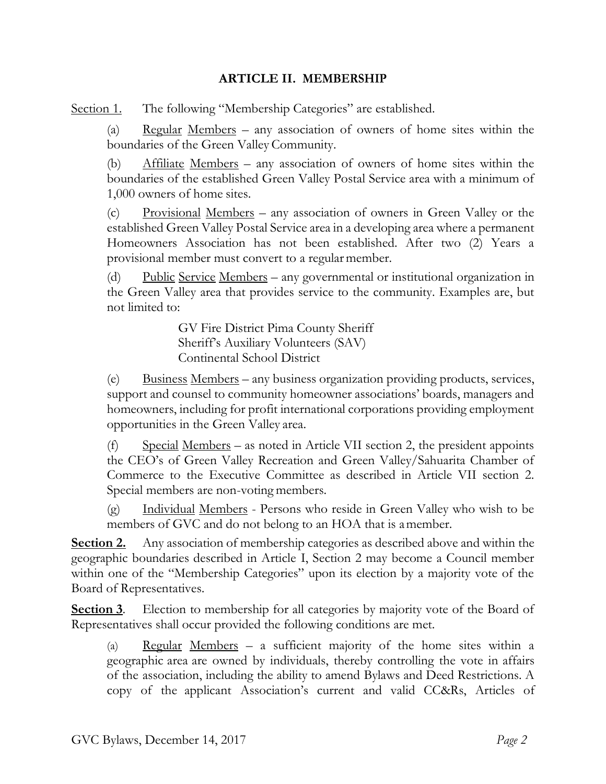#### **ARTICLE II. MEMBERSHIP**

Section 1. The following "Membership Categories" are established.

(a) Regular Members – any association of owners of home sites within the boundaries of the Green Valley Community.

(b) Affiliate Members – any association of owners of home sites within the boundaries of the established Green Valley Postal Service area with a minimum of 1,000 owners of home sites.

(c) Provisional Members – any association of owners in Green Valley or the established Green Valley Postal Service area in a developing area where a permanent Homeowners Association has not been established. After two (2) Years a provisional member must convert to a regular member.

(d) Public Service Members – any governmental or institutional organization in the Green Valley area that provides service to the community. Examples are, but not limited to:

> GV Fire District Pima County Sheriff Sheriff's Auxiliary Volunteers (SAV) Continental School District

(e) Business Members – any business organization providing products, services, support and counsel to community homeowner associations' boards, managers and homeowners, including for profit international corporations providing employment opportunities in the Green Valley area.

(f) Special Members – as noted in Article VII section 2, the president appoints the CEO's of Green Valley Recreation and Green Valley/Sahuarita Chamber of Commerce to the Executive Committee as described in Article VII section 2. Special members are non-voting members.

(g) Individual Members - Persons who reside in Green Valley who wish to be members of GVC and do not belong to an HOA that is amember.

**Section 2.** Any association of membership categories as described above and within the geographic boundaries described in Article I, Section 2 may become a Council member within one of the "Membership Categories" upon its election by a majority vote of the Board of Representatives.

**Section 3**. Election to membership for all categories by majority vote of the Board of Representatives shall occur provided the following conditions are met.

(a) Regular Members – a sufficient majority of the home sites within a geographic area are owned by individuals, thereby controlling the vote in affairs of the association, including the ability to amend Bylaws and Deed Restrictions. A copy of the applicant Association's current and valid CC&Rs, Articles of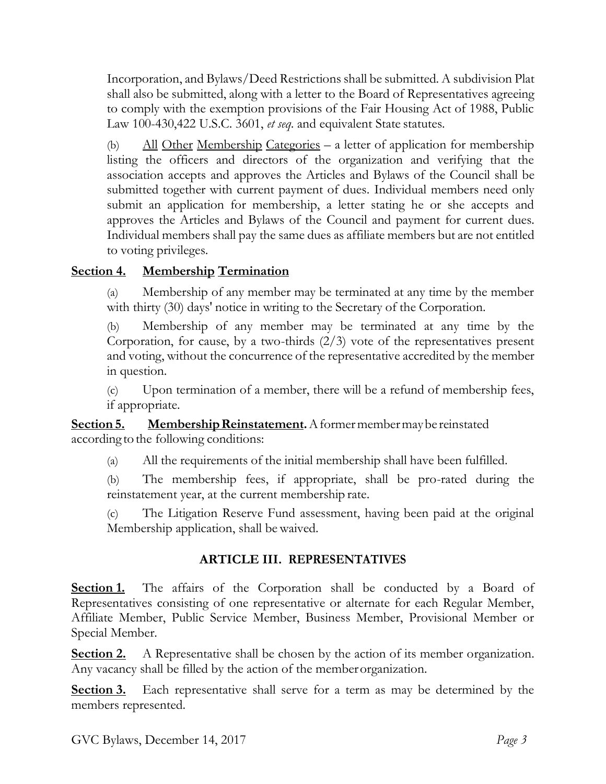Incorporation, and Bylaws/Deed Restrictions shall be submitted. A subdivision Plat shall also be submitted, along with a letter to the Board of Representatives agreeing to comply with the exemption provisions of the Fair Housing Act of 1988, Public Law 100-430,422 U.S.C. 3601, *et seq*. and equivalent State statutes.

(b) All Other Membership Categories – a letter of application for membership listing the officers and directors of the organization and verifying that the association accepts and approves the Articles and Bylaws of the Council shall be submitted together with current payment of dues. Individual members need only submit an application for membership, a letter stating he or she accepts and approves the Articles and Bylaws of the Council and payment for current dues. Individual members shall pay the same dues as affiliate members but are not entitled to voting privileges.

### **Section 4. Membership Termination**

(a) Membership of any member may be terminated at any time by the member with thirty (30) days' notice in writing to the Secretary of the Corporation.

(b) Membership of any member may be terminated at any time by the Corporation, for cause, by a two-thirds  $(2/3)$  vote of the representatives present and voting, without the concurrence of the representative accredited by the member in question.

(c) Upon termination of a member, there will be a refund of membership fees, if appropriate.

**<u>Section 5.</u> Membership Reinstatement.** A former member may be reinstated according to the following conditions:

(a) All the requirements of the initial membership shall have been fulfilled.

(b) The membership fees, if appropriate, shall be pro-rated during the reinstatement year, at the current membership rate.

(c) The Litigation Reserve Fund assessment, having been paid at the original Membership application, shall bewaived.

#### **ARTICLE III. REPRESENTATIVES**

**Section 1.** The affairs of the Corporation shall be conducted by a Board of Representatives consisting of one representative or alternate for each Regular Member, Affiliate Member, Public Service Member, Business Member, Provisional Member or Special Member.

**Section 2.** A Representative shall be chosen by the action of its member organization. Any vacancy shall be filled by the action of the memberorganization.

**Section 3.** Each representative shall serve for a term as may be determined by the members represented.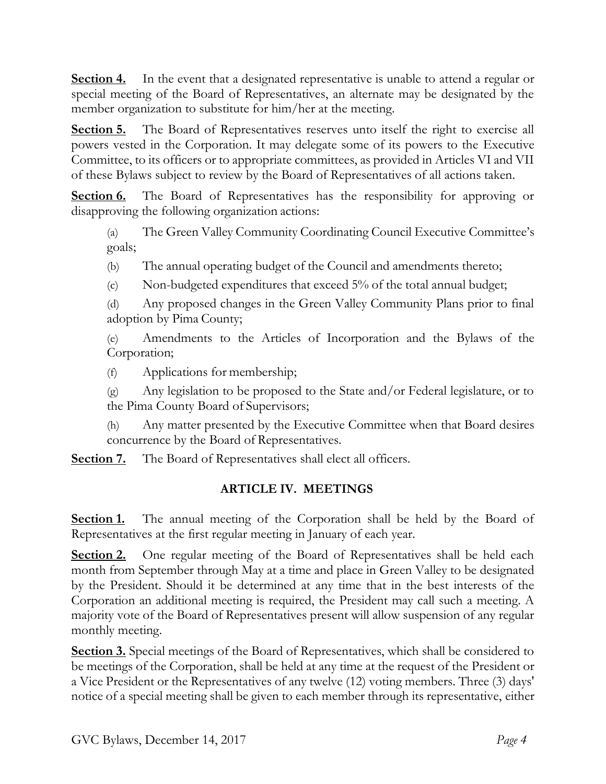**Section 4.** In the event that a designated representative is unable to attend a regular or special meeting of the Board of Representatives, an alternate may be designated by the member organization to substitute for him/her at the meeting.

**Section 5.** The Board of Representatives reserves unto itself the right to exercise all powers vested in the Corporation. It may delegate some of its powers to the Executive Committee, to its officers or to appropriate committees, as provided in Articles VI and VII of these Bylaws subject to review by the Board of Representatives of all actions taken.

**Section 6.** The Board of Representatives has the responsibility for approving or disapproving the following organization actions:

(a) The Green Valley Community Coordinating Council Executive Committee's goals;

(b) The annual operating budget of the Council and amendments thereto;

(c) Non-budgeted expenditures that exceed 5% of the total annual budget;

(d) Any proposed changes in the Green Valley Community Plans prior to final adoption by Pima County;

(e) Amendments to the Articles of Incorporation and the Bylaws of the Corporation;

(f) Applications for membership;

(g) Any legislation to be proposed to the State and/or Federal legislature, or to the Pima County Board of Supervisors;

(h) Any matter presented by the Executive Committee when that Board desires concurrence by the Board of Representatives.

**<u>Section 7.</u>** The Board of Representatives shall elect all officers.

#### **ARTICLE IV. MEETINGS**

**Section 1.** The annual meeting of the Corporation shall be held by the Board of Representatives at the first regular meeting in January of each year.

**Section 2.** One regular meeting of the Board of Representatives shall be held each month from September through May at a time and place in Green Valley to be designated by the President. Should it be determined at any time that in the best interests of the Corporation an additional meeting is required, the President may call such a meeting. A majority vote of the Board of Representatives present will allow suspension of any regular monthly meeting.

**Section 3.** Special meetings of the Board of Representatives, which shall be considered to be meetings of the Corporation, shall be held at any time at the request of the President or a Vice President or the Representatives of any twelve (12) voting members. Three (3) days' notice of a special meeting shall be given to each member through its representative, either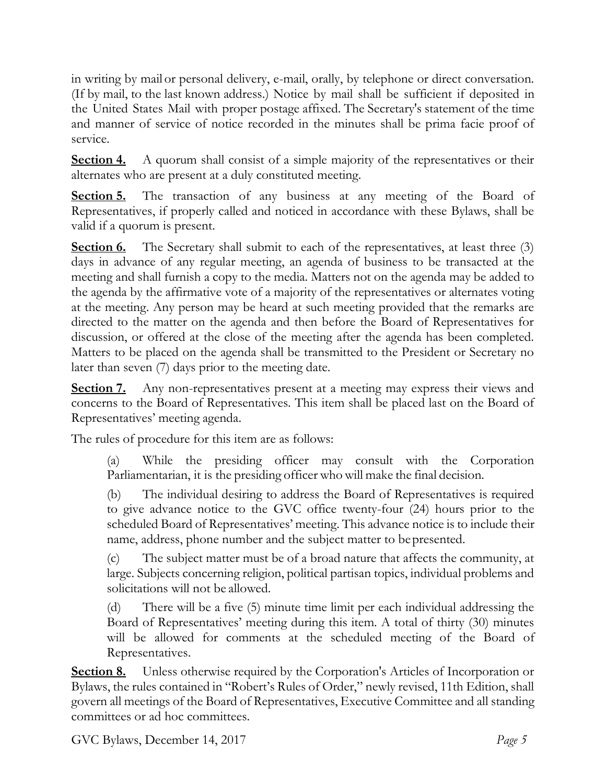in writing by mail or personal delivery, e-mail, orally, by telephone or direct conversation. (If by mail, to the last known address.) Notice by mail shall be sufficient if deposited in the United States Mail with proper postage affixed. The Secretary's statement of the time and manner of service of notice recorded in the minutes shall be prima facie proof of service.

**Section 4.** A quorum shall consist of a simple majority of the representatives or their alternates who are present at a duly constituted meeting.

**Section 5.** The transaction of any business at any meeting of the Board of Representatives, if properly called and noticed in accordance with these Bylaws, shall be valid if a quorum is present.

**Section 6.** The Secretary shall submit to each of the representatives, at least three (3) days in advance of any regular meeting, an agenda of business to be transacted at the meeting and shall furnish a copy to the media. Matters not on the agenda may be added to the agenda by the affirmative vote of a majority of the representatives or alternates voting at the meeting. Any person may be heard at such meeting provided that the remarks are directed to the matter on the agenda and then before the Board of Representatives for discussion, or offered at the close of the meeting after the agenda has been completed. Matters to be placed on the agenda shall be transmitted to the President or Secretary no later than seven (7) days prior to the meeting date.

**Section 7.** Any non-representatives present at a meeting may express their views and concerns to the Board of Representatives. This item shall be placed last on the Board of Representatives' meeting agenda.

The rules of procedure for this item are as follows:

(a) While the presiding officer may consult with the Corporation Parliamentarian, it is the presiding officer who will make the final decision.

(b) The individual desiring to address the Board of Representatives is required to give advance notice to the GVC office twenty-four (24) hours prior to the scheduled Board of Representatives' meeting. This advance notice is to include their name, address, phone number and the subject matter to bepresented.

(c) The subject matter must be of a broad nature that affects the community, at large. Subjects concerning religion, political partisan topics, individual problems and solicitations will not be allowed.

(d) There will be a five (5) minute time limit per each individual addressing the Board of Representatives' meeting during this item. A total of thirty (30) minutes will be allowed for comments at the scheduled meeting of the Board of Representatives.

**<u>Section 8.</u>** Unless otherwise required by the Corporation's Articles of Incorporation or Bylaws, the rules contained in "Robert's Rules of Order," newly revised, 11th Edition, shall govern all meetings of the Board of Representatives, Executive Committee and all standing committees or ad hoc committees.

GVC Bylaws, December 14, 2017 *Page 5*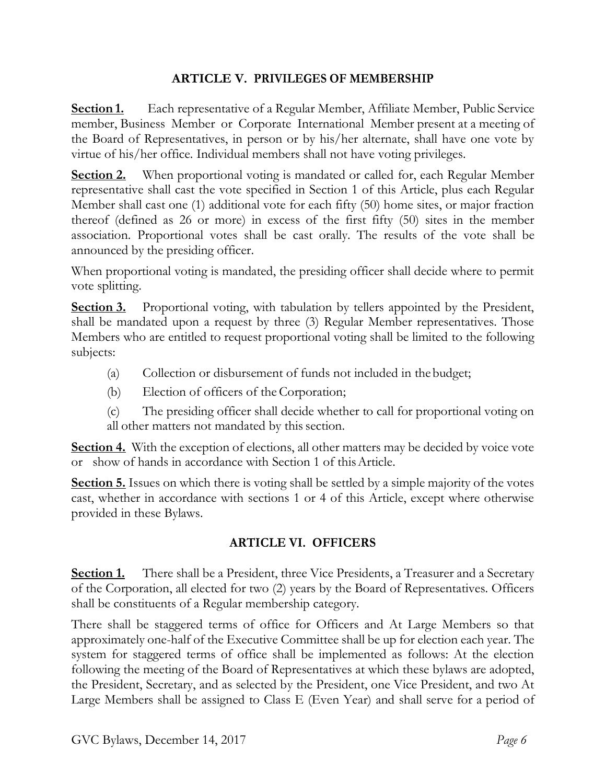#### **ARTICLE V. PRIVILEGES OF MEMBERSHIP**

**Section 1.** Each representative of a Regular Member, Affiliate Member, Public Service member, Business Member or Corporate International Member present at a meeting of the Board of Representatives, in person or by his/her alternate, shall have one vote by virtue of his/her office. Individual members shall not have voting privileges.

**Section 2.** When proportional voting is mandated or called for, each Regular Member representative shall cast the vote specified in Section 1 of this Article, plus each Regular Member shall cast one (1) additional vote for each fifty (50) home sites, or major fraction thereof (defined as 26 or more) in excess of the first fifty (50) sites in the member association. Proportional votes shall be cast orally. The results of the vote shall be announced by the presiding officer.

When proportional voting is mandated, the presiding officer shall decide where to permit vote splitting.

**Section 3.** Proportional voting, with tabulation by tellers appointed by the President, shall be mandated upon a request by three (3) Regular Member representatives. Those Members who are entitled to request proportional voting shall be limited to the following subjects:

- (a) Collection or disbursement of funds not included in thebudget;
- (b) Election of officers of the Corporation;
- (c) The presiding officer shall decide whether to call for proportional voting on all other matters not mandated by this section.

**Section 4.** With the exception of elections, all other matters may be decided by voice vote or show of hands in accordance with Section 1 of thisArticle.

**Section 5.** Issues on which there is voting shall be settled by a simple majority of the votes cast, whether in accordance with sections 1 or 4 of this Article, except where otherwise provided in these Bylaws.

## **ARTICLE VI. OFFICERS**

**Section 1.** There shall be a President, three Vice Presidents, a Treasurer and a Secretary of the Corporation, all elected for two (2) years by the Board of Representatives. Officers shall be constituents of a Regular membership category.

There shall be staggered terms of office for Officers and At Large Members so that approximately one-half of the Executive Committee shall be up for election each year. The system for staggered terms of office shall be implemented as follows: At the election following the meeting of the Board of Representatives at which these bylaws are adopted, the President, Secretary, and as selected by the President, one Vice President, and two At Large Members shall be assigned to Class E (Even Year) and shall serve for a period of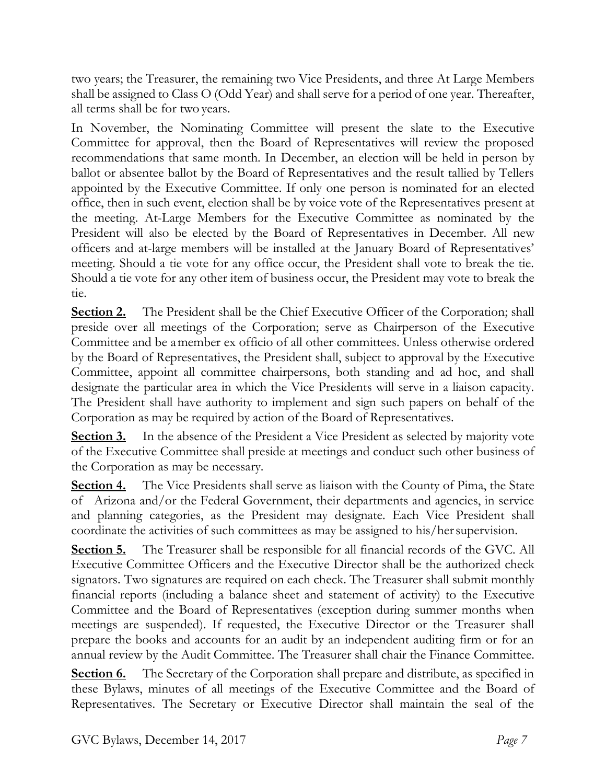two years; the Treasurer, the remaining two Vice Presidents, and three At Large Members shall be assigned to Class O (Odd Year) and shall serve for a period of one year. Thereafter, all terms shall be for two years.

In November, the Nominating Committee will present the slate to the Executive Committee for approval, then the Board of Representatives will review the proposed recommendations that same month. In December, an election will be held in person by ballot or absentee ballot by the Board of Representatives and the result tallied by Tellers appointed by the Executive Committee. If only one person is nominated for an elected office, then in such event, election shall be by voice vote of the Representatives present at the meeting. At-Large Members for the Executive Committee as nominated by the President will also be elected by the Board of Representatives in December. All new officers and at-large members will be installed at the January Board of Representatives' meeting. Should a tie vote for any office occur, the President shall vote to break the tie. Should a tie vote for any other item of business occur, the President may vote to break the tie.

**<u>Section 2.</u>** The President shall be the Chief Executive Officer of the Corporation; shall preside over all meetings of the Corporation; serve as Chairperson of the Executive Committee and be amember ex officio of all other committees. Unless otherwise ordered by the Board of Representatives, the President shall, subject to approval by the Executive Committee, appoint all committee chairpersons, both standing and ad hoc, and shall designate the particular area in which the Vice Presidents will serve in a liaison capacity. The President shall have authority to implement and sign such papers on behalf of the Corporation as may be required by action of the Board of Representatives.

**Section 3.** In the absence of the President a Vice President as selected by majority vote of the Executive Committee shall preside at meetings and conduct such other business of the Corporation as may be necessary.

**<u>Section 4.</u>** The Vice Presidents shall serve as liaison with the County of Pima, the State of Arizona and/or the Federal Government, their departments and agencies, in service and planning categories, as the President may designate. Each Vice President shall coordinate the activities of such committees as may be assigned to his/hersupervision.

**Section 5.** The Treasurer shall be responsible for all financial records of the GVC. All Executive Committee Officers and the Executive Director shall be the authorized check signators. Two signatures are required on each check. The Treasurer shall submit monthly financial reports (including a balance sheet and statement of activity) to the Executive Committee and the Board of Representatives (exception during summer months when meetings are suspended). If requested, the Executive Director or the Treasurer shall prepare the books and accounts for an audit by an independent auditing firm or for an annual review by the Audit Committee. The Treasurer shall chair the Finance Committee.

**<u>Section 6.</u>** The Secretary of the Corporation shall prepare and distribute, as specified in these Bylaws, minutes of all meetings of the Executive Committee and the Board of Representatives. The Secretary or Executive Director shall maintain the seal of the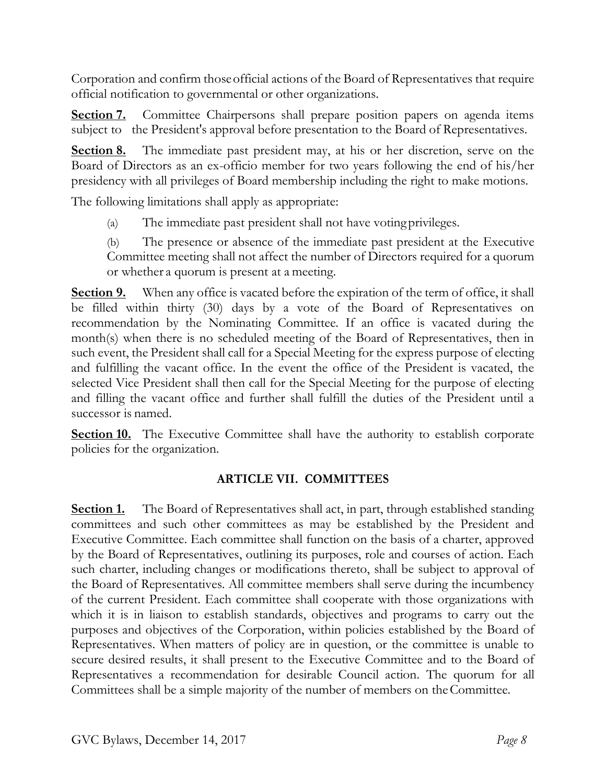Corporation and confirm thoseofficial actions of the Board of Representatives that require official notification to governmental or other organizations.

**Section 7.** Committee Chairpersons shall prepare position papers on agenda items subject to the President's approval before presentation to the Board of Representatives.

**Section 8.** The immediate past president may, at his or her discretion, serve on the Board of Directors as an ex-officio member for two years following the end of his/her presidency with all privileges of Board membership including the right to make motions.

The following limitations shall apply as appropriate:

(a) The immediate past president shall not have votingprivileges.

(b) The presence or absence of the immediate past president at the Executive Committee meeting shall not affect the number of Directors required for a quorum or whether a quorum is present at a meeting.

**Section 9.** When any office is vacated before the expiration of the term of office, it shall be filled within thirty (30) days by a vote of the Board of Representatives on recommendation by the Nominating Committee. If an office is vacated during the month(s) when there is no scheduled meeting of the Board of Representatives, then in such event, the President shall call for a Special Meeting for the express purpose of electing and fulfilling the vacant office. In the event the office of the President is vacated, the selected Vice President shall then call for the Special Meeting for the purpose of electing and filling the vacant office and further shall fulfill the duties of the President until a successor is named.

**Section 10.** The Executive Committee shall have the authority to establish corporate policies for the organization.

## **ARTICLE VII. COMMITTEES**

**Section 1.** The Board of Representatives shall act, in part, through established standing committees and such other committees as may be established by the President and Executive Committee. Each committee shall function on the basis of a charter, approved by the Board of Representatives, outlining its purposes, role and courses of action. Each such charter, including changes or modifications thereto, shall be subject to approval of the Board of Representatives. All committee members shall serve during the incumbency of the current President. Each committee shall cooperate with those organizations with which it is in liaison to establish standards, objectives and programs to carry out the purposes and objectives of the Corporation, within policies established by the Board of Representatives. When matters of policy are in question, or the committee is unable to secure desired results, it shall present to the Executive Committee and to the Board of Representatives a recommendation for desirable Council action. The quorum for all Committees shall be a simple majority of the number of members on theCommittee.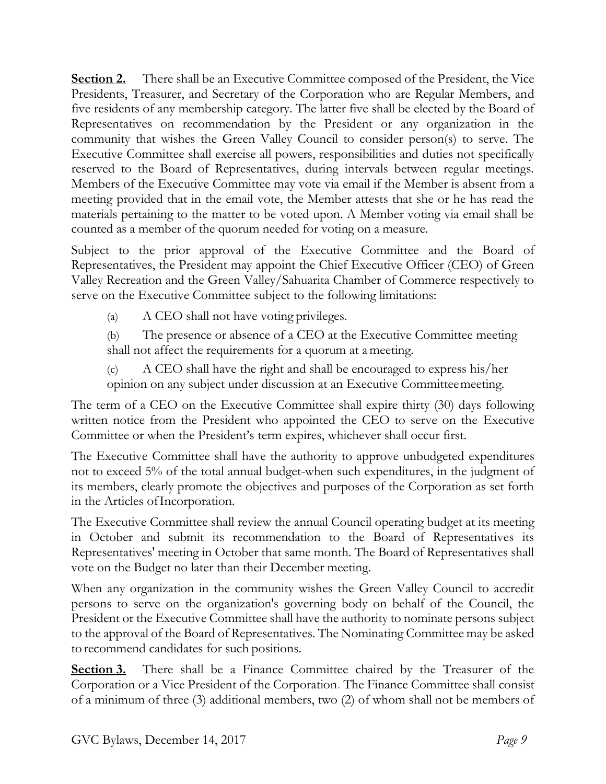**Section 2.** There shall be an Executive Committee composed of the President, the Vice Presidents, Treasurer, and Secretary of the Corporation who are Regular Members, and five residents of any membership category. The latter five shall be elected by the Board of Representatives on recommendation by the President or any organization in the community that wishes the Green Valley Council to consider person(s) to serve. The Executive Committee shall exercise all powers, responsibilities and duties not specifically reserved to the Board of Representatives, during intervals between regular meetings. Members of the Executive Committee may vote via email if the Member is absent from a meeting provided that in the email vote, the Member attests that she or he has read the materials pertaining to the matter to be voted upon. A Member voting via email shall be counted as a member of the quorum needed for voting on a measure.

Subject to the prior approval of the Executive Committee and the Board of Representatives, the President may appoint the Chief Executive Officer (CEO) of Green Valley Recreation and the Green Valley/Sahuarita Chamber of Commerce respectively to serve on the Executive Committee subject to the following limitations:

(a) A CEO shall not have voting privileges.

(b) The presence or absence of a CEO at the Executive Committee meeting shall not affect the requirements for a quorum at ameeting.

(c) A CEO shall have the right and shall be encouraged to express his/her opinion on any subject under discussion at an Executive Committeemeeting.

The term of a CEO on the Executive Committee shall expire thirty (30) days following written notice from the President who appointed the CEO to serve on the Executive Committee or when the President's term expires, whichever shall occur first.

The Executive Committee shall have the authority to approve unbudgeted expenditures not to exceed 5% of the total annual budget when such expenditures, in the judgment of its members, clearly promote the objectives and purposes of the Corporation as set forth in the Articles ofIncorporation.

The Executive Committee shall review the annual Council operating budget at its meeting in October and submit its recommendation to the Board of Representatives its Representatives' meeting in October that same month. The Board of Representatives shall vote on the Budget no later than their December meeting.

When any organization in the community wishes the Green Valley Council to accredit persons to serve on the organization's governing body on behalf of the Council, the President or the Executive Committee shall have the authority to nominate persons subject to the approval of the Board of Representatives. The Nominating Committee may be asked torecommend candidates for such positions.

**Section 3.** There shall be a Finance Committee chaired by the Treasurer of the Corporation or a Vice President of the Corporation. The Finance Committee shall consist of a minimum of three (3) additional members, two (2) of whom shall not be members of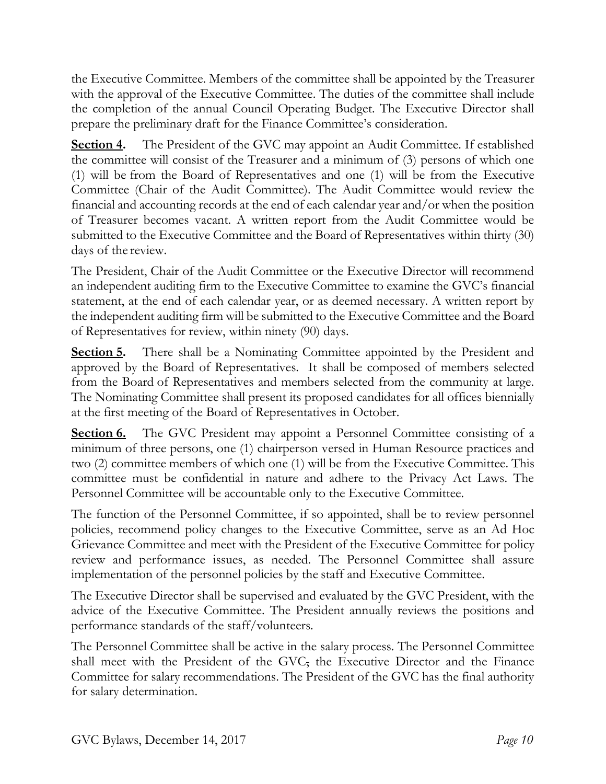the Executive Committee. Members of the committee shall be appointed by the Treasurer with the approval of the Executive Committee. The duties of the committee shall include the completion of the annual Council Operating Budget. The Executive Director shall prepare the preliminary draft for the Finance Committee's consideration.

**Section 4.** The President of the GVC may appoint an Audit Committee. If established the committee will consist of the Treasurer and a minimum of (3) persons of which one (1) will be from the Board of Representatives and one (1) will be from the Executive Committee (Chair of the Audit Committee). The Audit Committee would review the financial and accounting records at the end of each calendar year and/or when the position of Treasurer becomes vacant. A written report from the Audit Committee would be submitted to the Executive Committee and the Board of Representatives within thirty (30) days of the review.

The President, Chair of the Audit Committee or the Executive Director will recommend an independent auditing firm to the Executive Committee to examine the GVC's financial statement, at the end of each calendar year, or as deemed necessary. A written report by the independent auditing firm will be submitted to the Executive Committee and the Board of Representatives for review, within ninety (90) days.

**Section 5.** There shall be a Nominating Committee appointed by the President and approved by the Board of Representatives. It shall be composed of members selected from the Board of Representatives and members selected from the community at large. The Nominating Committee shall present its proposed candidates for all offices biennially at the first meeting of the Board of Representatives in October.

**Section 6.** The GVC President may appoint a Personnel Committee consisting of a minimum of three persons, one (1) chairperson versed in Human Resource practices and two (2) committee members of which one (1) will be from the Executive Committee. This committee must be confidential in nature and adhere to the Privacy Act Laws. The Personnel Committee will be accountable only to the Executive Committee.

The function of the Personnel Committee, if so appointed, shall be to review personnel policies, recommend policy changes to the Executive Committee, serve as an Ad Hoc Grievance Committee and meet with the President of the Executive Committee for policy review and performance issues, as needed. The Personnel Committee shall assure implementation of the personnel policies by the staff and Executive Committee.

The Executive Director shall be supervised and evaluated by the GVC President, with the advice of the Executive Committee. The President annually reviews the positions and performance standards of the staff/volunteers.

The Personnel Committee shall be active in the salary process. The Personnel Committee shall meet with the President of the GVC, the Executive Director and the Finance Committee for salary recommendations. The President of the GVC has the final authority for salary determination.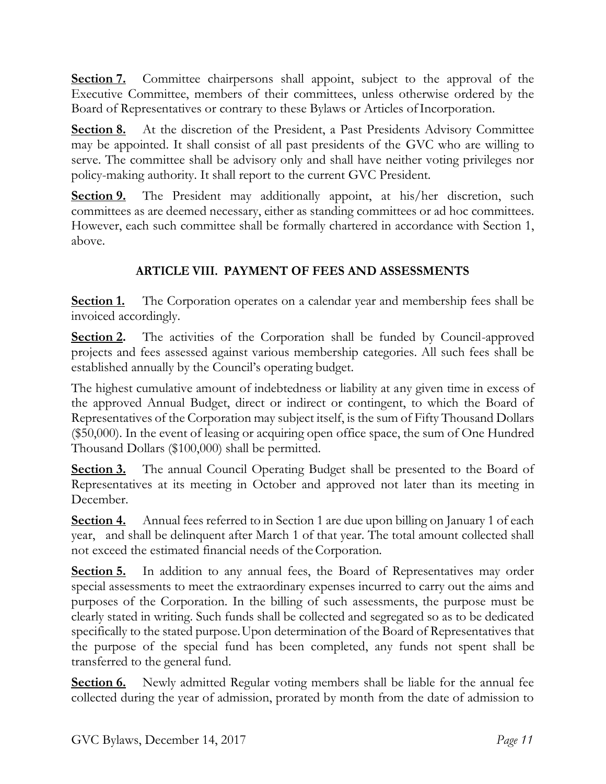**Section 7.** Committee chairpersons shall appoint, subject to the approval of the Executive Committee, members of their committees, unless otherwise ordered by the Board of Representatives or contrary to these Bylaws or Articles ofIncorporation.

**Section 8.** At the discretion of the President, a Past Presidents Advisory Committee may be appointed. It shall consist of all past presidents of the GVC who are willing to serve. The committee shall be advisory only and shall have neither voting privileges nor policy-making authority. It shall report to the current GVC President.

**Section 9.** The President may additionally appoint, at his/her discretion, such committees as are deemed necessary, either as standing committees or ad hoc committees. However, each such committee shall be formally chartered in accordance with Section 1, above.

## **ARTICLE VIII. PAYMENT OF FEES AND ASSESSMENTS**

**Section 1.** The Corporation operates on a calendar year and membership fees shall be invoiced accordingly.

**Section 2.** The activities of the Corporation shall be funded by Council-approved projects and fees assessed against various membership categories. All such fees shall be established annually by the Council's operating budget.

The highest cumulative amount of indebtedness or liability at any given time in excess of the approved Annual Budget, direct or indirect or contingent, to which the Board of Representatives of the Corporation may subject itself, is the sum of Fifty Thousand Dollars (\$50,000). In the event of leasing or acquiring open office space, the sum of One Hundred Thousand Dollars (\$100,000) shall be permitted.

**Section 3.** The annual Council Operating Budget shall be presented to the Board of Representatives at its meeting in October and approved not later than its meeting in December.

**Section 4.** Annual fees referred to in Section 1 are due upon billing on January 1 of each year, and shall be delinquent after March 1 of that year. The total amount collected shall not exceed the estimated financial needs of theCorporation.

**Section 5.** In addition to any annual fees, the Board of Representatives may order special assessments to meet the extraordinary expenses incurred to carry out the aims and purposes of the Corporation. In the billing of such assessments, the purpose must be clearly stated in writing. Such funds shall be collected and segregated so as to be dedicated specifically to the stated purpose.Upon determination of the Board of Representatives that the purpose of the special fund has been completed, any funds not spent shall be transferred to the general fund.

**Section 6.** Newly admitted Regular voting members shall be liable for the annual fee collected during the year of admission, prorated by month from the date of admission to